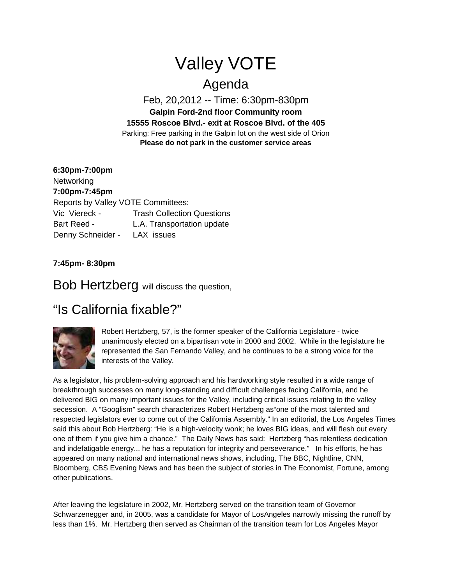## Valley VOTE

## Agenda

Feb, 20,2012 -- Time: 6:30pm-830pm **Galpin Ford-2nd floor Community room 15555 Roscoe Blvd.- exit at Roscoe Blvd. of the 405** Parking: Free parking in the Galpin lot on the west side of Orion **Please do not park in the customer service areas**

**6:30pm-7:00pm Networking 7:00pm-7:45pm** Reports by Valley VOTE Committees: Vic Viereck - Trash Collection Questions Bart Reed - L.A. Transportation update Denny Schneider - LAX issues

**7:45pm- 8:30pm**

Bob Hertzberg will discuss the question,

## "Is California fixable?"



Robert Hertzberg, 57, is the former speaker of the California Legislature - twice unanimously elected on a bipartisan vote in 2000 and 2002. While in the legislature he represented the San Fernando Valley, and he continues to be a strong voice for the interests of the Valley.

As a legislator, his problem-solving approach and his hardworking style resulted in a wide range of breakthrough successes on many long-standing and difficult challenges facing California, and he delivered BIG on many important issues for the Valley, including critical issues relating to the valley secession. A "Googlism" search characterizes Robert Hertzberg as"one of the most talented and respected legislators ever to come out of the California Assembly." In an editorial, the Los Angeles Times said this about Bob Hertzberg: "He is a high-velocity wonk; he loves BIG ideas, and will flesh out every one of them if you give him a chance." The Daily News has said: Hertzberg "has relentless dedication and indefatigable energy... he has a reputation for integrity and perseverance." In his efforts, he has appeared on many national and international news shows, including, The BBC, Nightline, CNN, Bloomberg, CBS Evening News and has been the subject of stories in The Economist, Fortune, among other publications.

After leaving the legislature in 2002, Mr. Hertzberg served on the transition team of Governor Schwarzenegger and, in 2005, was a candidate for Mayor of LosAngeles narrowly missing the runoff by less than 1%. Mr. Hertzberg then served as Chairman of the transition team for Los Angeles Mayor